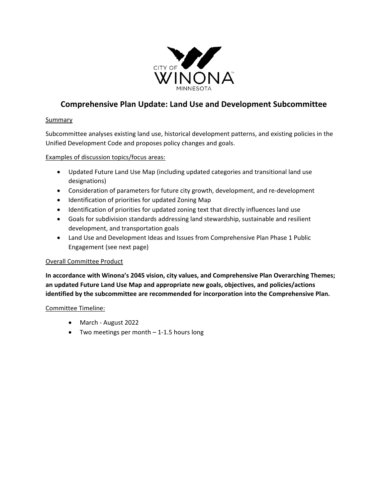

# **Comprehensive Plan Update: Land Use and Development Subcommittee**

#### **Summary**

Subcommittee analyses existing land use, historical development patterns, and existing policies in the Unified Development Code and proposes policy changes and goals.

#### Examples of discussion topics/focus areas:

- Updated Future Land Use Map (including updated categories and transitional land use designations)
- Consideration of parameters for future city growth, development, and re-development
- Identification of priorities for updated Zoning Map
- Identification of priorities for updated zoning text that directly influences land use
- Goals for subdivision standards addressing land stewardship, sustainable and resilient development, and transportation goals
- Land Use and Development Ideas and Issues from Comprehensive Plan Phase 1 Public Engagement (see next page)

#### Overall Committee Product

**In accordance with Winona's 2045 vision, city values, and Comprehensive Plan Overarching Themes; an updated Future Land Use Map and appropriate new goals, objectives, and policies/actions identified by the subcommittee are recommended for incorporation into the Comprehensive Plan.** 

#### Committee Timeline:

- March August 2022
- Two meetings per month 1-1.5 hours long